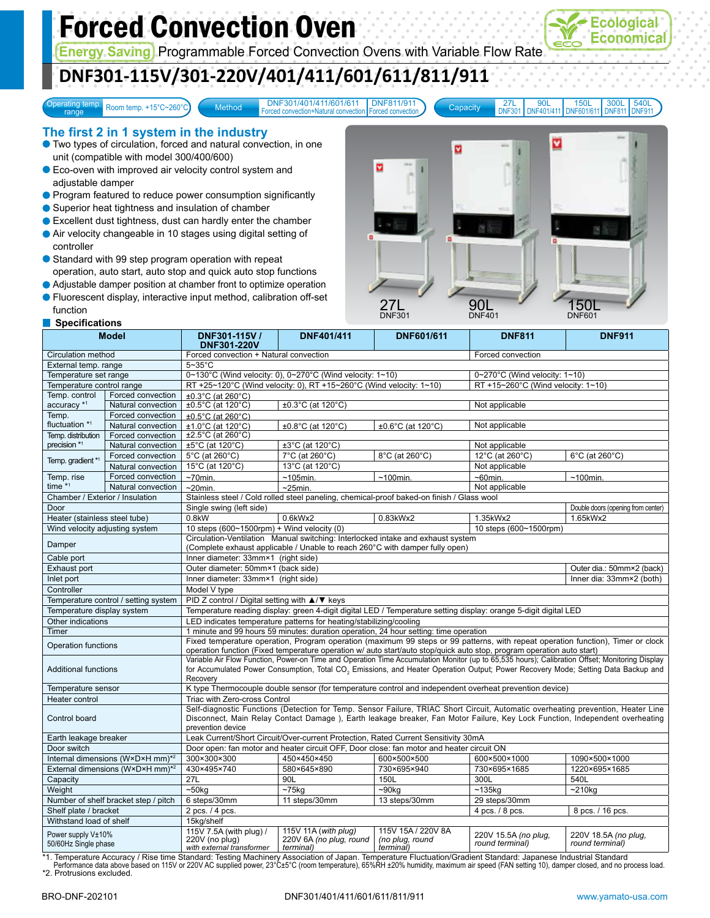# Forced Convection Oven

**Energy Saving** Programmable Forced Convection Ovens with Variable Flow Rate

# **DNF301-115V/301-220V/401/411/601/611/811/911**

Operating temp.<br>
range Boom temp. +15°C~260°C

Method DNF301/401/411/601/611 DNF811/911 Forced convection+Natural convection DNF811/911 Forced convection

ø

27L DNF301 90L DNF401/411 150L DNF601/611 300L DNF811 540L DNF911

v

ø

150L

#### **The first 2 in 1 system in the industry**

Two types of circulation, forced and natural convection, in one unit (compatible with model 300/400/600)

- **Eco-oven with improved air velocity control system and** adjustable damper
- **Program featured to reduce power consumption significantly**
- Superior heat tightness and insulation of chamber
- Excellent dust tightness, dust can hardly enter the chamber
- Air velocity changeable in 10 stages using digital setting of controller
- Standard with 99 step program operation with repeat operation, auto start, auto stop and quick auto stop functions
- Adjustable damper position at chamber front to optimize operation Fluorescent display, interactive input method, calibration off-set

function



\*1. Temperature Accuracy / Rise time Standard: Testing Machinery Association of Japan. Temperature Fluctuation/Gradient Standard: Japanese Industrial Standard Performance data above based on 115V or 220V AC supplied power, 23°C±5°C (room temperature), 65%RH ±20% humidity, maximum air speed (FAN setting 10), damper closed, and no process load. \*2. Protrusions excluded.